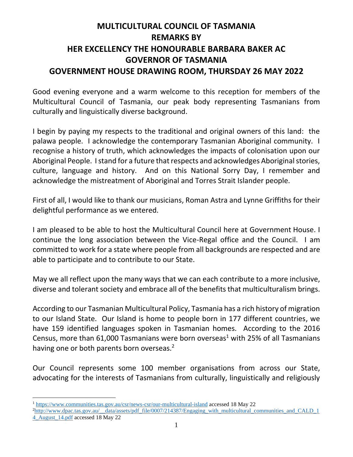## **MULTICULTURAL COUNCIL OF TASMANIA REMARKS BY HER EXCELLENCY THE HONOURABLE BARBARA BAKER AC GOVERNOR OF TASMANIA GOVERNMENT HOUSE DRAWING ROOM, THURSDAY 26 MAY 2022**

Good evening everyone and a warm welcome to this reception for members of the Multicultural Council of Tasmania, our peak body representing Tasmanians from culturally and linguistically diverse background.

I begin by paying my respects to the traditional and original owners of this land: the palawa people. I acknowledge the contemporary Tasmanian Aboriginal community. I recognise a history of truth, which acknowledges the impacts of colonisation upon our Aboriginal People. I stand for a future that respects and acknowledges Aboriginal stories, culture, language and history. And on this National Sorry Day, I remember and acknowledge the mistreatment of Aboriginal and Torres Strait Islander people.

First of all, I would like to thank our musicians, Roman Astra and Lynne Griffiths for their delightful performance as we entered.

I am pleased to be able to host the Multicultural Council here at Government House. I continue the long association between the Vice-Regal office and the Council. I am committed to work for a state where people from all backgrounds are respected and are able to participate and to contribute to our State.

May we all reflect upon the many ways that we can each contribute to a more inclusive, diverse and tolerant society and embrace all of the benefits that multiculturalism brings.

According to our Tasmanian Multicultural Policy, Tasmania has a rich history of migration to our Island State. Our Island is home to people born in 177 different countries, we have 159 identified languages spoken in Tasmanian homes. According to the 2016 Census, more than 61,000 Tasmanians were born overseas<sup>1</sup> with 25% of all Tasmanians having one or both parents born overseas.<sup>2</sup>

Our Council represents some 100 member organisations from across our State, advocating for the interests of Tasmanians from culturally, linguistically and religiously

<sup>&</sup>lt;sup>1</sup> <https://www.communities.tas.gov.au/csr/news-csr/our-multicultural-island> accessed 18 May 22

 $^{2}$ http://www.dpac.tas.gov.au/\_data/assets/pdf\_file/0007/214387/Engaging\_with\_multicultural\_communities\_and\_CALD\_1\_ [4\\_August\\_14.pdf](http://www.dpac.tas.gov.au/__data/assets/pdf_file/0007/214387/Engaging_with_multicultural_communities_and_CALD_14_August_14.pdf) accessed 18 May 22